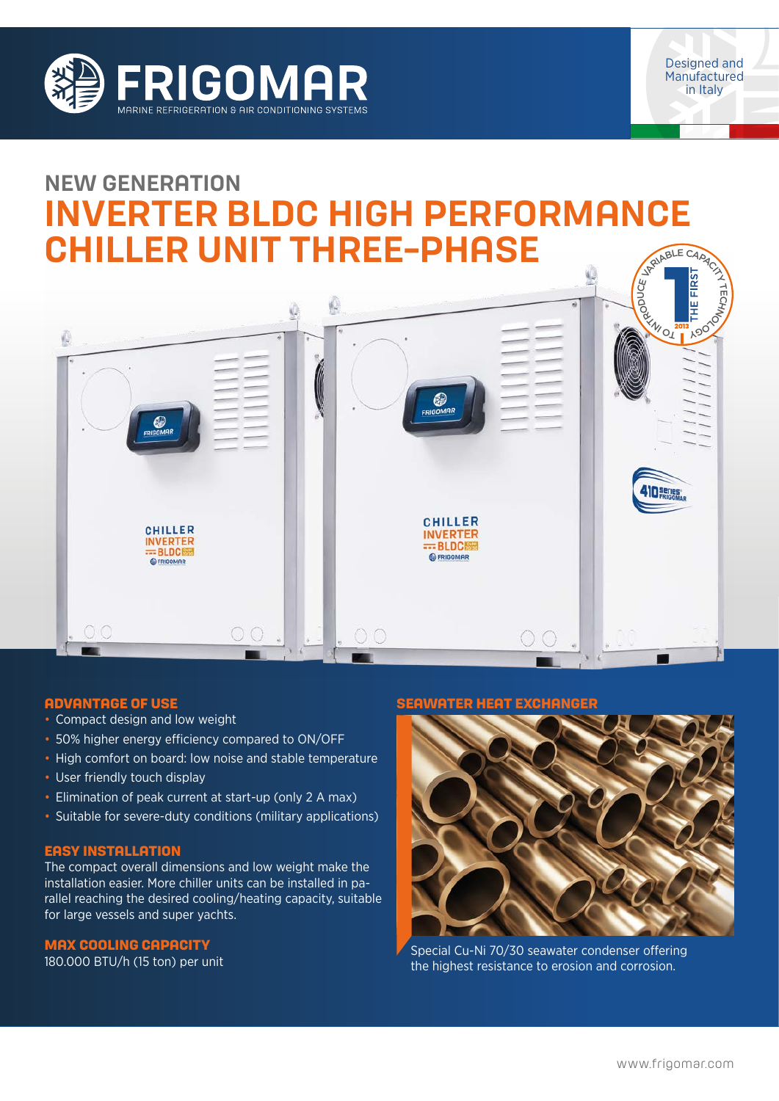



# NEW GENERATION INVERTER BLDC HIGH PERFORMANCE CHILLER UNIT THREE-PHASE JRANBLE CAP



### **ADVANTAGE OF USE**

- Compact design and low weight
- 50% higher energy efficiency compared to ON/OFF
- High comfort on board: low noise and stable temperature
- User friendly touch display
- Elimination of peak current at start-up (only 2 A max)
- Suitable for severe-duty conditions (military applications)

#### **EASY INSTALLATION**

The compact overall dimensions and low weight make the installation easier. More chiller units can be installed in parallel reaching the desired cooling/heating capacity, suitable for large vessels and super yachts.

### **MAX COOLING CAPACITY**

180.000 BTU/h (15 ton) per unit

#### **SEAWATER HEAT EXCHANGER**



Special Cu-Ni 70/30 seawater condenser offering the highest resistance to erosion and corrosion.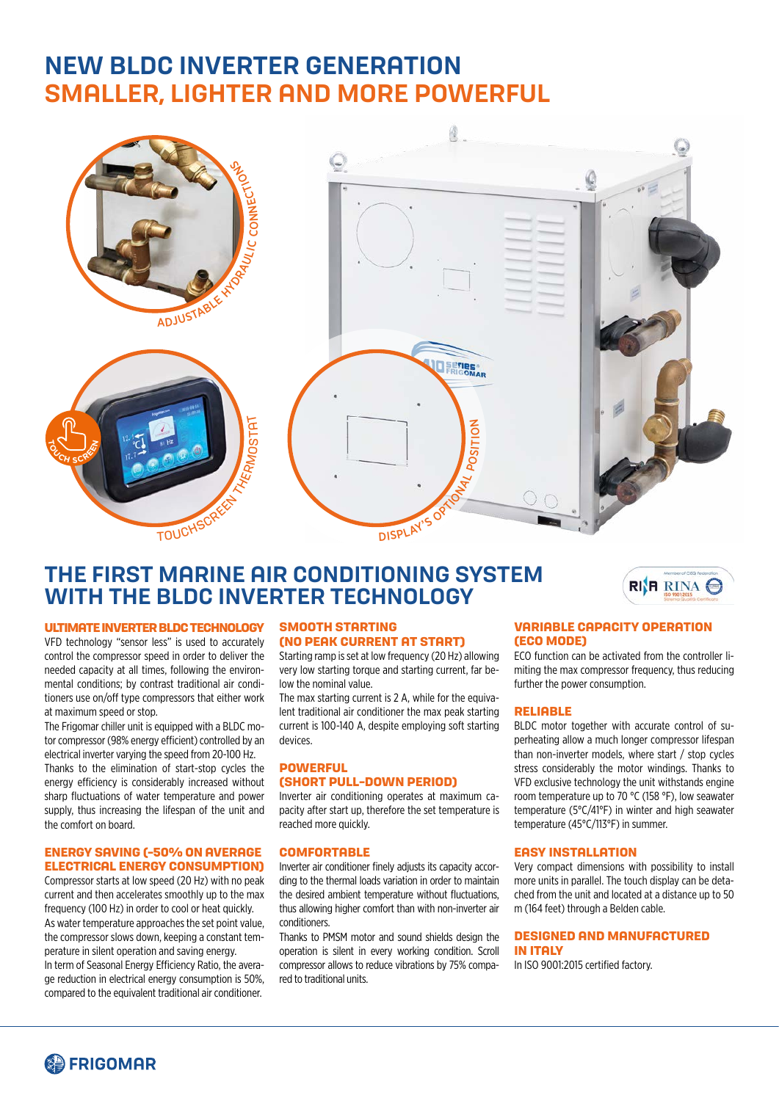# NEW BLDC INVERTER GENERATION SMALLER, LIGHTER AND MORE POWERFUL



## THE FIRST MARINE AIR CONDITIONING SYSTEM WITH THE BLDC INVERTER TECHNOLOGY

#### **ULTIMATE INVERTER BLDC TECHNOLOGY**

VFD technology "sensor less" is used to accurately control the compressor speed in order to deliver the needed capacity at all times, following the environmental conditions; by contrast traditional air conditioners use on/off type compressors that either work at maximum speed or stop.

The Frigomar chiller unit is equipped with a BLDC motor compressor (98% energy efficient) controlled by an electrical inverter varying the speed from 20-100 Hz. Thanks to the elimination of start-stop cycles the energy efficiency is considerably increased without sharp fluctuations of water temperature and power supply, thus increasing the lifespan of the unit and the comfort on board.

#### **ENERGY SAVING (-50% ON AVERAGE ELECTRICAL ENERGY CONSUMPTION)**

Compressor starts at low speed (20 Hz) with no peak current and then accelerates smoothly up to the max frequency (100 Hz) in order to cool or heat quickly. As water temperature approaches the set point value, the compressor slows down, keeping a constant temperature in silent operation and saving energy. In term of Seasonal Energy Efficiency Ratio, the average reduction in electrical energy consumption is 50%, compared to the equivalent traditional air conditioner.

#### **SMOOTH STARTING (NO PEAK CURRENT AT START)**

Starting ramp is set at low frequency (20 Hz) allowing very low starting torque and starting current, far below the nominal value.

The max starting current is 2 A, while for the equivalent traditional air conditioner the max peak starting current is 100-140 A, despite employing soft starting devices.

#### **POWERFUL (SHORT PULL-DOWN PERIOD)**

Inverter air conditioning operates at maximum capacity after start up, therefore the set temperature is reached more quickly.

#### **COMFORTABLE**

Inverter air conditioner finely adjusts its capacity according to the thermal loads variation in order to maintain the desired ambient temperature without fluctuations, thus allowing higher comfort than with non-inverter air conditioners.

Thanks to PMSM motor and sound shields design the operation is silent in every working condition. Scroll compressor allows to reduce vibrations by 75% compared to traditional units.

#### **VARIABLE CAPACITY OPERATION (ECO MODE)**

ECO function can be activated from the controller limiting the max compressor frequency, thus reducing further the power consumption.

RI**R** RINA

#### **RELIABLE**

BLDC motor together with accurate control of superheating allow a much longer compressor lifespan than non-inverter models, where start / stop cycles stress considerably the motor windings. Thanks to VFD exclusive technology the unit withstands engine room temperature up to 70 °C (158 °F), low seawater temperature (5°C/41°F) in winter and high seawater temperature (45°C/113°F) in summer.

#### **EASY INSTALLATION**

Very compact dimensions with possibility to install more units in parallel. The touch display can be detached from the unit and located at a distance up to 50 m (164 feet) through a Belden cable.

#### **DESIGNED AND MANUFACTURED IN ITALY**

In ISO 9001:2015 certified factory.

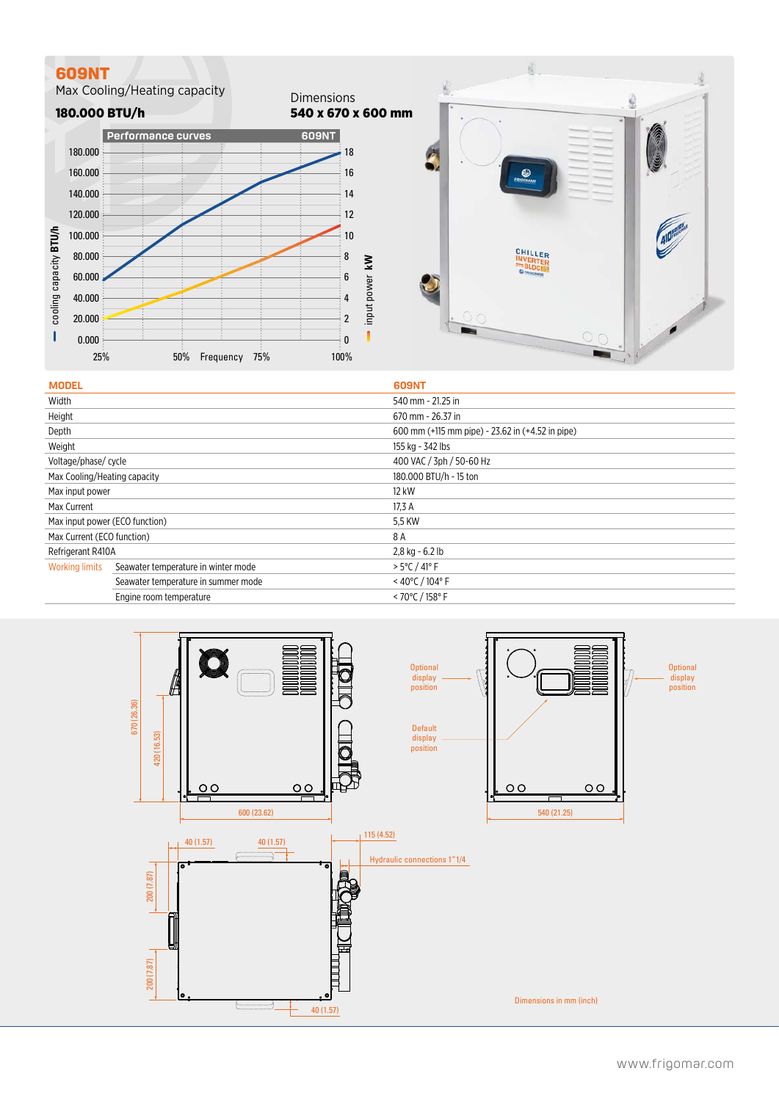### **609NT**

Max Cooling/Heating capacity





| <b>MODEL</b>                   |                                     | <b>609NT</b>                                     |
|--------------------------------|-------------------------------------|--------------------------------------------------|
| Width                          |                                     | 540 mm - 21.25 in                                |
| Height                         |                                     | 670 mm - 26.37 in                                |
| Depth                          |                                     | 600 mm (+115 mm pipe) - 23.62 in (+4.52 in pipe) |
| Weight                         |                                     | 155 kg - 342 lbs                                 |
| Voltage/phase/ cycle           |                                     | 400 VAC / 3ph / 50-60 Hz                         |
| Max Cooling/Heating capacity   |                                     | 180,000 BTU/h - 15 ton                           |
| Max input power                |                                     | 12 kW                                            |
| Max Current                    |                                     | 17,3 A                                           |
| Max input power (ECO function) |                                     | 5,5 KW                                           |
| Max Current (ECO function)     |                                     | 8 A                                              |
| Refrigerant R410A              |                                     | 2,8 kg - 6.2 lb                                  |
| <b>Working limits</b>          | Seawater temperature in winter mode | $> 5^{\circ}$ C / 41° F                          |
|                                | Seawater temperature in summer mode | < 40°C / 104°F                                   |
|                                | Engine room temperature             | < 70 $\degree$ C / 158 $\degree$ F               |
|                                |                                     |                                                  |